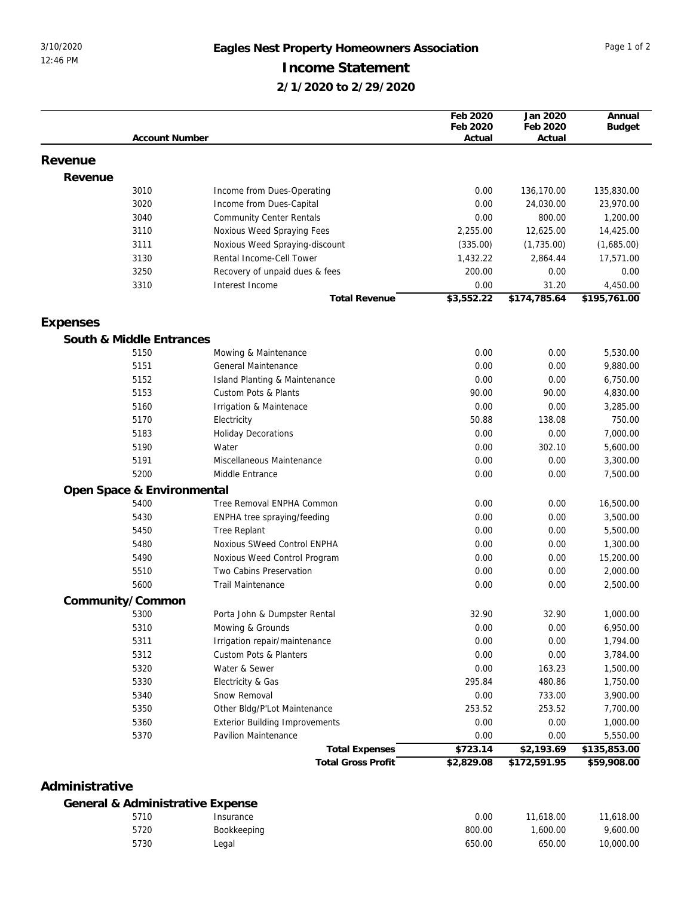## 3/10/2020 **Eagles Nest Property Homeowners Association** Page 1 of 2 **Income Statement**

**2/1/2020 to 2/29/2020**

|                |                                  |                                       | Feb 2020<br>Feb 2020 | Jan 2020<br>Feb 2020 | Annual<br><b>Budget</b> |
|----------------|----------------------------------|---------------------------------------|----------------------|----------------------|-------------------------|
|                | <b>Account Number</b>            |                                       | Actual               | Actual               |                         |
| Revenue        |                                  |                                       |                      |                      |                         |
|                |                                  |                                       |                      |                      |                         |
| Revenue        | 3010                             | Income from Dues-Operating            | 0.00                 | 136,170.00           | 135,830.00              |
|                | 3020                             | Income from Dues-Capital              | 0.00                 | 24,030.00            | 23,970.00               |
|                | 3040                             | <b>Community Center Rentals</b>       | 0.00                 | 800.00               | 1,200.00                |
|                | 3110                             | Noxious Weed Spraying Fees            | 2,255.00             | 12,625.00            | 14,425.00               |
|                | 3111                             | Noxious Weed Spraying-discount        | (335.00)             | (1,735.00)           | (1,685.00)              |
|                | 3130                             | Rental Income-Cell Tower              | 1,432.22             | 2,864.44             | 17,571.00               |
|                | 3250                             | Recovery of unpaid dues & fees        | 200.00               | 0.00                 | 0.00                    |
|                | 3310                             | Interest Income                       | 0.00                 | 31.20                | 4,450.00                |
|                |                                  | <b>Total Revenue</b>                  | \$3,552.22           | \$174,785.64         | \$195,761.00            |
| Expenses       |                                  |                                       |                      |                      |                         |
|                | South & Middle Entrances         |                                       |                      |                      |                         |
|                | 5150                             | Mowing & Maintenance                  | 0.00                 | 0.00                 | 5,530.00                |
|                | 5151                             | General Maintenance                   | 0.00                 | 0.00                 | 9,880.00                |
|                | 5152                             | Island Planting & Maintenance         | 0.00                 | 0.00                 | 6,750.00                |
|                | 5153                             | Custom Pots & Plants                  | 90.00                | 90.00                | 4,830.00                |
|                | 5160                             | Irrigation & Maintenace               | 0.00                 | 0.00                 | 3,285.00                |
|                | 5170                             | Electricity                           | 50.88                | 138.08               | 750.00                  |
|                | 5183                             | <b>Holiday Decorations</b>            | 0.00                 | 0.00                 | 7,000.00                |
|                | 5190                             | Water                                 | 0.00                 | 302.10               | 5,600.00                |
|                | 5191                             | Miscellaneous Maintenance             | 0.00                 | 0.00                 | 3,300.00                |
|                | 5200                             | Middle Entrance                       | 0.00                 | 0.00                 | 7,500.00                |
|                | Open Space & Environmental       |                                       |                      |                      |                         |
|                | 5400                             | Tree Removal ENPHA Common             | 0.00                 | 0.00                 | 16,500.00               |
|                | 5430                             | ENPHA tree spraying/feeding           | 0.00                 | 0.00                 | 3,500.00                |
|                | 5450                             | <b>Tree Replant</b>                   | 0.00                 | 0.00                 | 5,500.00                |
|                | 5480                             | Noxious SWeed Control ENPHA           | 0.00                 | 0.00                 | 1,300.00                |
|                | 5490                             | Noxious Weed Control Program          | 0.00                 | 0.00                 | 15,200.00               |
|                | 5510                             | Two Cabins Preservation               | 0.00                 | 0.00                 | 2,000.00                |
|                | 5600                             | <b>Trail Maintenance</b>              | 0.00                 | 0.00                 | 2,500.00                |
|                | Community/Common                 |                                       |                      |                      |                         |
|                | 5300                             | Porta John & Dumpster Rental          | 32.90                | 32.90                | 1,000.00                |
|                | 5310                             | Mowing & Grounds                      | 0.00                 | 0.00                 | 6,950.00                |
|                | 5311                             | Irrigation repair/maintenance         | 0.00                 | 0.00                 | 1,794.00                |
|                | 5312                             | Custom Pots & Planters                | 0.00                 | 0.00                 | 3,784.00                |
|                | 5320                             | Water & Sewer                         | 0.00                 | 163.23               | 1,500.00                |
|                | 5330                             | Electricity & Gas                     | 295.84               | 480.86               | 1,750.00                |
|                | 5340                             | Snow Removal                          | 0.00                 | 733.00               | 3,900.00                |
|                | 5350                             | Other Bldg/P'Lot Maintenance          | 253.52               | 253.52               | 7,700.00                |
|                | 5360                             | <b>Exterior Building Improvements</b> | 0.00                 | 0.00                 | 1,000.00                |
|                | 5370                             | Pavilion Maintenance                  | 0.00                 | 0.00                 | 5,550.00                |
|                |                                  | <b>Total Expenses</b>                 | \$723.14             | \$2,193.69           | \$135,853.00            |
|                |                                  | <b>Total Gross Profit</b>             | \$2,829.08           | \$172,591.95         | \$59,908.00             |
| Administrative |                                  |                                       |                      |                      |                         |
|                | General & Administrative Expense |                                       |                      |                      |                         |
|                | 5710                             | Insurance                             | 0.00                 | 11,618.00            | 11,618.00               |
|                | 5720                             | Bookkeeping                           | 800.00               | 1,600.00             | 9,600.00                |

Legal [650.00](report:Key=ea2083f5-4b6e-4317-b58f-4f40cff7ad1a;Filter_CompanyId=%25Filter_CompanyId%25;Filter_AccountCategoryId=2147469940;Filter_Level1AccountId=2147469936;Filter_OpenPeriodId=~@Custom,2147469835~) [650.00](report:Key=ea2083f5-4b6e-4317-b58f-4f40cff7ad1a;Filter_CompanyId=%25Filter_CompanyId%25;Filter_AccountCategoryId=2147469940;Filter_Level1AccountId=2147469936;Filter_OpenPeriodId=~@Custom,2147469836,2147469835~) 10,000.00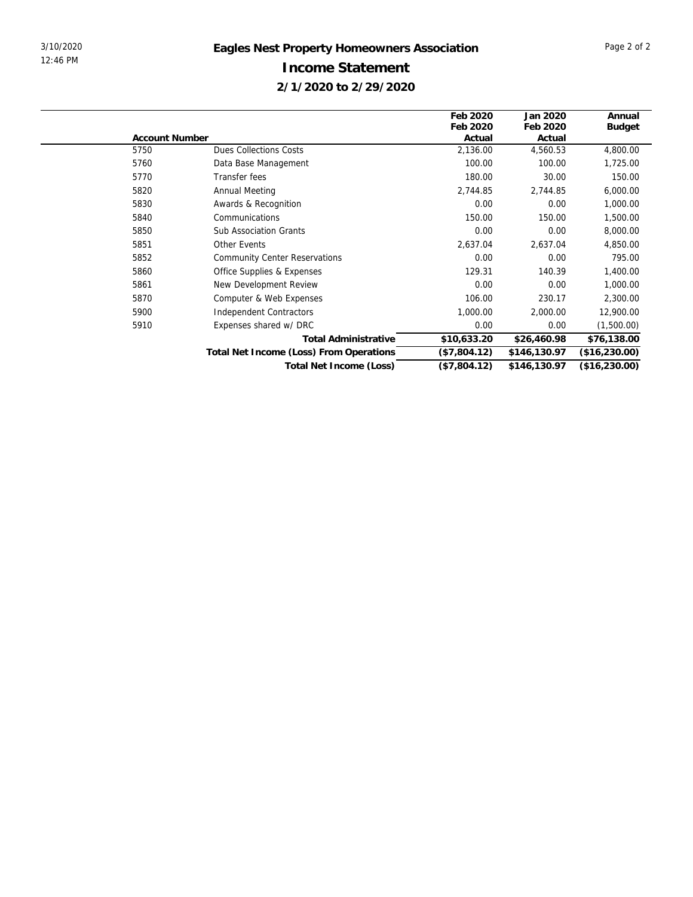|                       |                                         | Feb 2020     | Jan 2020     | Annual        |
|-----------------------|-----------------------------------------|--------------|--------------|---------------|
|                       |                                         | Feb 2020     | Feb 2020     | <b>Budget</b> |
| <b>Account Number</b> |                                         | Actual       | Actual       |               |
| 5750                  | <b>Dues Collections Costs</b>           | 2,136.00     | 4,560.53     | 4,800.00      |
| 5760                  | Data Base Management                    | 100.00       | 100.00       | 1,725.00      |
| 5770                  | Transfer fees                           | 180.00       | 30.00        | 150.00        |
| 5820                  | <b>Annual Meeting</b>                   | 2,744.85     | 2,744.85     | 6,000.00      |
| 5830                  | Awards & Recognition                    | 0.00         | 0.00         | 1,000.00      |
| 5840                  | Communications                          | 150.00       | 150.00       | 1,500.00      |
| 5850                  | <b>Sub Association Grants</b>           | 0.00         | 0.00         | 8,000.00      |
| 5851                  | <b>Other Events</b>                     | 2,637.04     | 2,637.04     | 4,850.00      |
| 5852                  | <b>Community Center Reservations</b>    | 0.00         | 0.00         | 795.00        |
| 5860                  | Office Supplies & Expenses              | 129.31       | 140.39       | 1,400.00      |
| 5861                  | New Development Review                  | 0.00         | 0.00         | 1,000.00      |
| 5870                  | Computer & Web Expenses                 | 106.00       | 230.17       | 2,300.00      |
| 5900                  | Independent Contractors                 | 1,000.00     | 2,000.00     | 12,900.00     |
| 5910                  | Expenses shared w/ DRC                  | 0.00         | 0.00         | (1,500.00)    |
|                       | <b>Total Administrative</b>             | \$10,633.20  | \$26,460.98  | \$76,138.00   |
|                       | Total Net Income (Loss) From Operations | (\$7,804.12) | \$146,130.97 | (\$16,230.00) |
|                       | Total Net Income (Loss)                 | (\$7,804.12) | \$146,130.97 | (\$16,230.00) |
|                       |                                         |              |              |               |